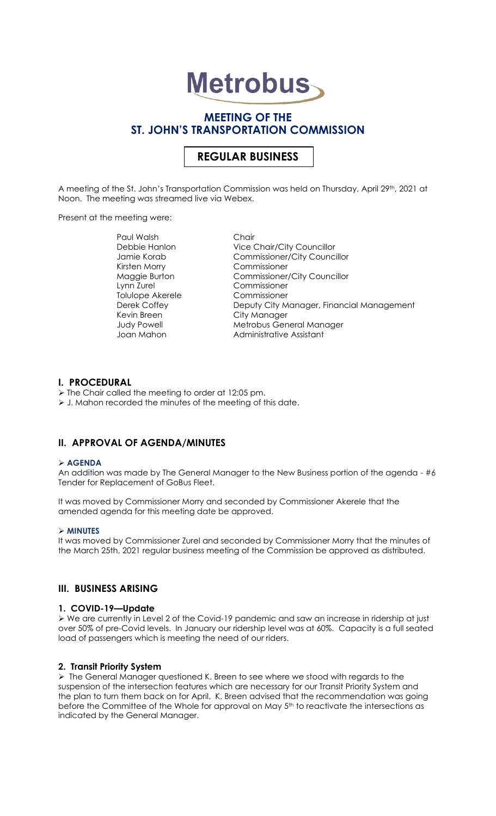# **Metrobus**

## **MEETING OF THE ST. JOHN'S TRANSPORTATION COMMISSION**

# **REGULAR BUSINESS**

A meeting of the St. John's Transportation Commission was held on Thursday, April 29th, 2021 at Noon. The meeting was streamed live via Webex.

Present at the meeting were:

Paul Walsh Chair Kirsten Morry Commissioner Lynn Zurel Commissioner Tolulope Akerele Commissioner Kevin Breen City Manager

Debbie Hanlon Vice Chair/City Councillor Jamie Korab Commissioner/City Councillor Maggie Burton Commissioner/City Councillor Deputy City Manager, Financial Management Judy Powell **Metrobus General Manager** Joan Mahon **Administrative Assistant** 

## **I. PROCEDURAL**

- ➢ The Chair called the meeting to order at 12:05 pm.
- ➢ J. Mahon recorded the minutes of the meeting of this date.

## **II. APPROVAL OF AGENDA/MINUTES**

#### ➢ **AGENDA**

An addition was made by The General Manager to the New Business portion of the agenda - #6 Tender for Replacement of GoBus Fleet.

It was moved by Commissioner Morry and seconded by Commissioner Akerele that the amended agenda for this meeting date be approved.

#### ➢ **MINUTES**

It was moved by Commissioner Zurel and seconded by Commissioner Morry that the minutes of the March 25th, 2021 regular business meeting of the Commission be approved as distributed.

## **III. BUSINESS ARISING**

#### **1. COVID-19—Update**

➢ We are currently in Level 2 of the Covid-19 pandemic and saw an increase in ridership at just over 50% of pre-Covid levels. In January our ridership level was at 60%. Capacity is a full seated load of passengers which is meeting the need of our riders.

#### **2. Transit Priority System**

➢ The General Manager questioned K. Breen to see where we stood with regards to the suspension of the intersection features which are necessary for our Transit Priority System and the plan to turn them back on for April. K. Breen advised that the recommendation was going before the Committee of the Whole for approval on May 5<sup>th</sup> to reactivate the intersections as indicated by the General Manager.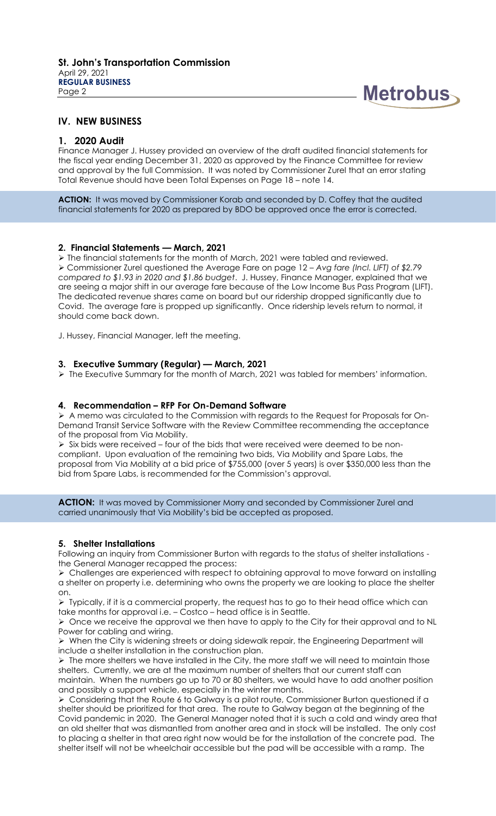

## **IV. NEW BUSINESS**

## **1. 2020 Audit**

Finance Manager J. Hussey provided an overview of the draft audited financial statements for the fiscal year ending December 31, 2020 as approved by the Finance Committee for review and approval by the full Commission. It was noted by Commissioner Zurel that an error stating Total Revenue should have been Total Expenses on Page 18 – note 14.

**ACTION:** It was moved by Commissioner Korab and seconded by D. Coffey that the audited financial statements for 2020 as prepared by BDO be approved once the error is corrected.

#### **2. Financial Statements — March, 2021**

➢ The financial statements for the month of March, 2021 were tabled and reviewed. ➢ Commissioner Zurel questioned the Average Fare on page 12 – *Avg fare (Incl. LIFT) of \$2.79 compared to \$1.93 in 2020 and \$1.86 budget*. J. Hussey, Finance Manager, explained that we are seeing a major shift in our average fare because of the Low Income Bus Pass Program (LIFT). The dedicated revenue shares came on board but our ridership dropped significantly due to Covid. The average fare is propped up significantly. Once ridership levels return to normal, it should come back down.

J. Hussey, Financial Manager, left the meeting.

#### **3. Executive Summary (Regular) — March, 2021**

➢ The Executive Summary for the month of March, 2021 was tabled for members' information.

#### **4. Recommendation – RFP For On-Demand Software**

➢ A memo was circulated to the Commission with regards to the Request for Proposals for On-Demand Transit Service Software with the Review Committee recommending the acceptance of the proposal from Via Mobility.

➢ Six bids were received – four of the bids that were received were deemed to be noncompliant. Upon evaluation of the remaining two bids, Via Mobility and Spare Labs, the proposal from Via Mobility at a bid price of \$755,000 (over 5 years) is over \$350,000 less than the bid from Spare Labs, is recommended for the Commission's approval.

**ACTION:** It was moved by Commissioner Morry and seconded by Commissioner Zurel and carried unanimously that Via Mobility's bid be accepted as proposed.

#### **5. Shelter Installations**

Following an inquiry from Commissioner Burton with regards to the status of shelter installations the General Manager recapped the process:

➢ Challenges are experienced with respect to obtaining approval to move forward on installing a shelter on property i.e. determining who owns the property we are looking to place the shelter on.

➢ Typically, if it is a commercial property, the request has to go to their head office which can take months for approval i.e. – Costco – head office is in Seattle.

 $\triangleright$  Once we receive the approval we then have to apply to the City for their approval and to NL Power for cabling and wiring.

➢ When the City is widening streets or doing sidewalk repair, the Engineering Department will include a shelter installation in the construction plan.

➢ The more shelters we have installed in the City, the more staff we will need to maintain those shelters. Currently, we are at the maximum number of shelters that our current staff can maintain. When the numbers go up to 70 or 80 shelters, we would have to add another position and possibly a support vehicle, especially in the winter months.

➢ Considering that the Route 6 to Galway is a pilot route, Commissioner Burton questioned if a shelter should be prioritized for that area. The route to Galway began at the beginning of the Covid pandemic in 2020. The General Manager noted that it is such a cold and windy area that an old shelter that was dismantled from another area and in stock will be installed. The only cost to placing a shelter in that area right now would be for the installation of the concrete pad. The shelter itself will not be wheelchair accessible but the pad will be accessible with a ramp. The